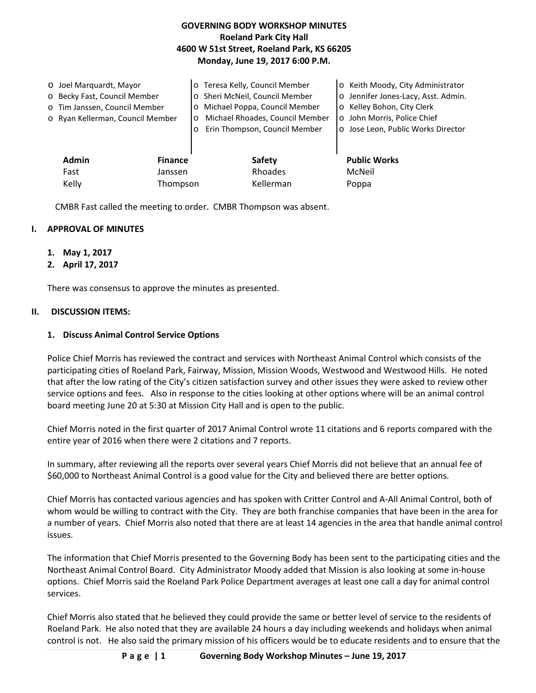## **GOVERNING BODY WORKSHOP MINUTES Roeland Park City Hall 4600 W 51st Street, Roeland Park, KS 66205 Monday, June 19, 2017 6:00 P.M.**

| O Joel Marquardt, Mayor          | $\circ$        | Teresa Kelly, Council Member               | o Keith Moody, City Administrator   |
|----------------------------------|----------------|--------------------------------------------|-------------------------------------|
| o Becky Fast, Council Member     |                | Sheri McNeil, Council Member<br>$\circ$    | o Jennifer Jones-Lacy, Asst. Admin. |
| o Tim Janssen, Council Member    |                | Michael Poppa, Council Member<br>$\circ$   | o Kelley Bohon, City Clerk          |
| o Ryan Kellerman, Council Member |                | Michael Rhoades, Council Member<br>$\circ$ | o John Morris, Police Chief         |
|                                  | $\Omega$       | Erin Thompson, Council Member              | o Jose Leon, Public Works Director  |
| <b>Admin</b>                     | <b>Finance</b> | <b>Safety</b>                              | <b>Public Works</b>                 |
| Fast                             | Janssen        | Rhoades                                    | McNeil                              |
| Kelly                            | Thompson       | Kellerman                                  | Poppa                               |

CMBR Fast called the meeting to order. CMBR Thompson was absent.

## **I. APPROVAL OF MINUTES**

- **1. May 1, 2017**
- **2. April 17, 2017**

There was consensus to approve the minutes as presented.

### **II. DISCUSSION ITEMS:**

### **1. Discuss Animal Control Service Options**

Police Chief Morris has reviewed the contract and services with Northeast Animal Control which consists of the participating cities of Roeland Park, Fairway, Mission, Mission Woods, Westwood and Westwood Hills. He noted that after the low rating of the City's citizen satisfaction survey and other issues they were asked to review other service options and fees. Also in response to the cities looking at other options where will be an animal control board meeting June 20 at 5:30 at Mission City Hall and is open to the public.

Chief Morris noted in the first quarter of 2017 Animal Control wrote 11 citations and 6 reports compared with the entire year of 2016 when there were 2 citations and 7 reports.

In summary, after reviewing all the reports over several years Chief Morris did not believe that an annual fee of \$60,000 to Northeast Animal Control is a good value for the City and believed there are better options.

Chief Morris has contacted various agencies and has spoken with Critter Control and A-All Animal Control, both of whom would be willing to contract with the City. They are both franchise companies that have been in the area for a number of years. Chief Morris also noted that there are at least 14 agencies in the area that handle animal control issues.

The information that Chief Morris presented to the Governing Body has been sent to the participating cities and the Northeast Animal Control Board. City Administrator Moody added that Mission is also looking at some in-house options. Chief Morris said the Roeland Park Police Department averages at least one call a day for animal control services.

Chief Morris also stated that he believed they could provide the same or better level of service to the residents of Roeland Park. He also noted that they are available 24 hours a day including weekends and holidays when animal control is not. He also said the primary mission of his officers would be to educate residents and to ensure that the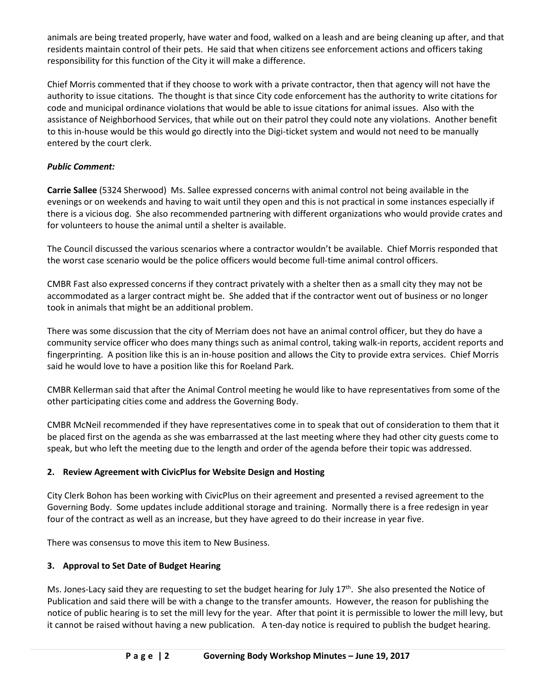animals are being treated properly, have water and food, walked on a leash and are being cleaning up after, and that residents maintain control of their pets. He said that when citizens see enforcement actions and officers taking responsibility for this function of the City it will make a difference.

Chief Morris commented that if they choose to work with a private contractor, then that agency will not have the authority to issue citations. The thought is that since City code enforcement has the authority to write citations for code and municipal ordinance violations that would be able to issue citations for animal issues. Also with the assistance of Neighborhood Services, that while out on their patrol they could note any violations. Another benefit to this in-house would be this would go directly into the Digi-ticket system and would not need to be manually entered by the court clerk.

# *Public Comment:*

**Carrie Sallee** (5324 Sherwood) Ms. Sallee expressed concerns with animal control not being available in the evenings or on weekends and having to wait until they open and this is not practical in some instances especially if there is a vicious dog. She also recommended partnering with different organizations who would provide crates and for volunteers to house the animal until a shelter is available.

The Council discussed the various scenarios where a contractor wouldn't be available. Chief Morris responded that the worst case scenario would be the police officers would become full-time animal control officers.

CMBR Fast also expressed concerns if they contract privately with a shelter then as a small city they may not be accommodated as a larger contract might be. She added that if the contractor went out of business or no longer took in animals that might be an additional problem.

There was some discussion that the city of Merriam does not have an animal control officer, but they do have a community service officer who does many things such as animal control, taking walk-in reports, accident reports and fingerprinting. A position like this is an in-house position and allows the City to provide extra services. Chief Morris said he would love to have a position like this for Roeland Park.

CMBR Kellerman said that after the Animal Control meeting he would like to have representatives from some of the other participating cities come and address the Governing Body.

CMBR McNeil recommended if they have representatives come in to speak that out of consideration to them that it be placed first on the agenda as she was embarrassed at the last meeting where they had other city guests come to speak, but who left the meeting due to the length and order of the agenda before their topic was addressed.

## **2. Review Agreement with CivicPlus for Website Design and Hosting**

City Clerk Bohon has been working with CivicPlus on their agreement and presented a revised agreement to the Governing Body. Some updates include additional storage and training. Normally there is a free redesign in year four of the contract as well as an increase, but they have agreed to do their increase in year five.

There was consensus to move this item to New Business.

## **3. Approval to Set Date of Budget Hearing**

Ms. Jones-Lacy said they are requesting to set the budget hearing for July  $17<sup>th</sup>$ . She also presented the Notice of Publication and said there will be with a change to the transfer amounts. However, the reason for publishing the notice of public hearing is to set the mill levy for the year. After that point it is permissible to lower the mill levy, but it cannot be raised without having a new publication. A ten-day notice is required to publish the budget hearing.